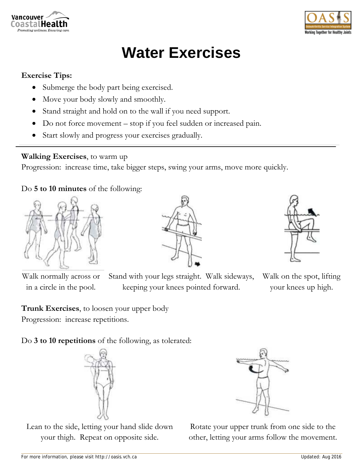



## **Water Exercises**

## **Exercise Tips:**

- Submerge the body part being exercised.
- Move your body slowly and smoothly.
- Stand straight and hold on to the wall if you need support.
- Do not force movement stop if you feel sudden or increased pain.
- Start slowly and progress your exercises gradually.

## **Walking Exercises**, to warm up

Progression: increase time, take bigger steps, swing your arms, move more quickly.

Do **5 to 10 minutes** of the following:



Walk normally across or in a circle in the pool.



Stand with your legs straight. Walk sideways, keeping your knees pointed forward.



Walk on the spot, lifting your knees up high.

**Trunk Exercises**, to loosen your upper body Progression: increase repetitions.

Do **3 to 10 repetitions** of the following, as tolerated:



Lean to the side, letting your hand slide down your thigh. Repeat on opposite side.



Rotate your upper trunk from one side to the other, letting your arms follow the movement.